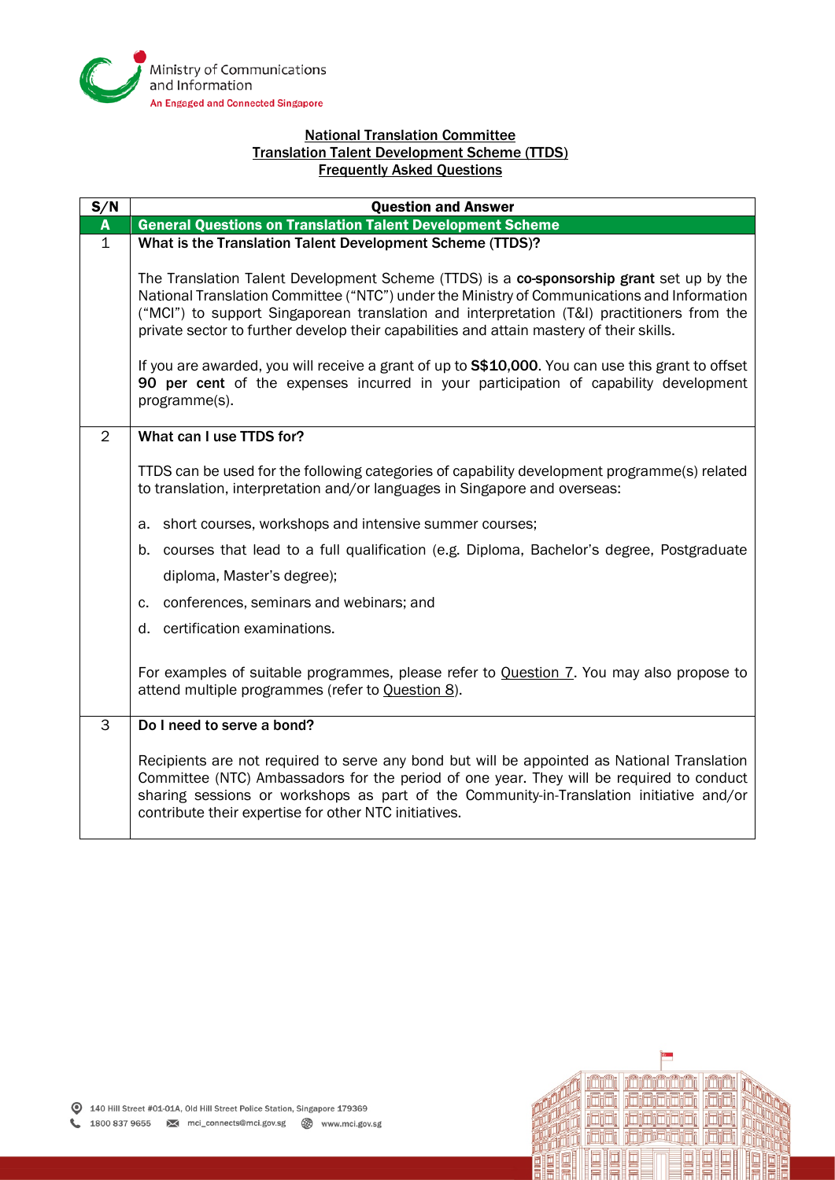

## National Translation Committee Translation Talent Development Scheme (TTDS) Frequently Asked Questions

| S/N         | <b>Question and Answer</b>                                                                                                                                                                                                                                                                                                                                                        |  |  |
|-------------|-----------------------------------------------------------------------------------------------------------------------------------------------------------------------------------------------------------------------------------------------------------------------------------------------------------------------------------------------------------------------------------|--|--|
| A           | <b>General Questions on Translation Talent Development Scheme</b>                                                                                                                                                                                                                                                                                                                 |  |  |
| $\mathbf 1$ | What is the Translation Talent Development Scheme (TTDS)?                                                                                                                                                                                                                                                                                                                         |  |  |
|             | The Translation Talent Development Scheme (TTDS) is a co-sponsorship grant set up by the<br>National Translation Committee ("NTC") under the Ministry of Communications and Information<br>("MCI") to support Singaporean translation and interpretation (T&I) practitioners from the<br>private sector to further develop their capabilities and attain mastery of their skills. |  |  |
|             | If you are awarded, you will receive a grant of up to S\$10,000. You can use this grant to offset<br>90 per cent of the expenses incurred in your participation of capability development<br>programme(s).                                                                                                                                                                        |  |  |
| 2           | What can I use TTDS for?                                                                                                                                                                                                                                                                                                                                                          |  |  |
|             | TTDS can be used for the following categories of capability development programme(s) related<br>to translation, interpretation and/or languages in Singapore and overseas:                                                                                                                                                                                                        |  |  |
|             | short courses, workshops and intensive summer courses;<br>a.                                                                                                                                                                                                                                                                                                                      |  |  |
|             | courses that lead to a full qualification (e.g. Diploma, Bachelor's degree, Postgraduate<br>b.                                                                                                                                                                                                                                                                                    |  |  |
|             | diploma, Master's degree);                                                                                                                                                                                                                                                                                                                                                        |  |  |
|             | conferences, seminars and webinars; and<br>C.                                                                                                                                                                                                                                                                                                                                     |  |  |
|             | d. certification examinations.                                                                                                                                                                                                                                                                                                                                                    |  |  |
|             | For examples of suitable programmes, please refer to Question 7. You may also propose to<br>attend multiple programmes (refer to Question 8).                                                                                                                                                                                                                                     |  |  |
| 3           | Do I need to serve a bond?                                                                                                                                                                                                                                                                                                                                                        |  |  |
|             | Recipients are not required to serve any bond but will be appointed as National Translation<br>Committee (NTC) Ambassadors for the period of one year. They will be required to conduct<br>sharing sessions or workshops as part of the Community-in-Translation initiative and/or<br>contribute their expertise for other NTC initiatives.                                       |  |  |

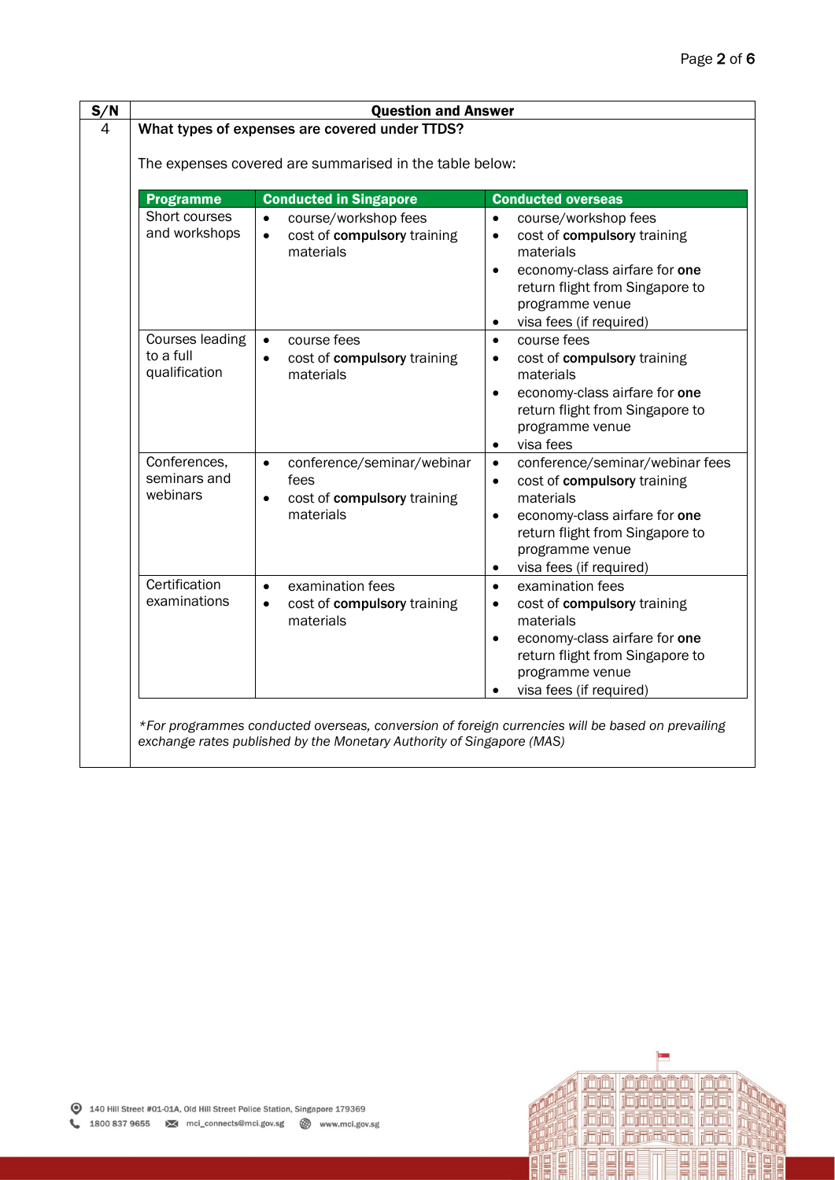| The expenses covered are summarised in the table below: |                                                                                             |                                                                                                                                                                                                                                                   |  |  |
|---------------------------------------------------------|---------------------------------------------------------------------------------------------|---------------------------------------------------------------------------------------------------------------------------------------------------------------------------------------------------------------------------------------------------|--|--|
| <b>Programme</b>                                        | <b>Conducted in Singapore</b>                                                               | <b>Conducted overseas</b>                                                                                                                                                                                                                         |  |  |
| Short courses<br>and workshops                          | course/workshop fees<br>$\bullet$<br>cost of compulsory training<br>$\bullet$<br>materials  | course/workshop fees<br>$\bullet$<br>cost of compulsory training<br>$\bullet$<br>materials<br>economy-class airfare for one<br>$\bullet$<br>return flight from Singapore to<br>programme venue<br>visa fees (if required)<br>٠                    |  |  |
| Courses leading<br>to a full<br>qualification           | course fees<br>cost of compulsory training<br>$\bullet$<br>materials                        | course fees<br>$\bullet$<br>cost of compulsory training<br>$\bullet$<br>materials<br>economy-class airfare for one<br>$\bullet$<br>return flight from Singapore to<br>programme venue<br>visa fees<br>$\bullet$                                   |  |  |
| Conferences,<br>seminars and<br>webinars                | conference/seminar/webinar<br>$\bullet$<br>fees<br>cost of compulsory training<br>materials | conference/seminar/webinar fees<br>$\bullet$<br>cost of compulsory training<br>$\bullet$<br>materials<br>economy-class airfare for one<br>$\bullet$<br>return flight from Singapore to<br>programme venue<br>visa fees (if required)<br>$\bullet$ |  |  |
| Certification<br>examinations                           | examination fees<br>$\bullet$<br>cost of compulsory training<br>$\bullet$<br>materials      | examination fees<br>$\bullet$<br>cost of compulsory training<br>$\bullet$<br>materials<br>economy-class airfare for one<br>$\bullet$<br>return flight from Singapore to<br>programme venue<br>visa fees (if required)                             |  |  |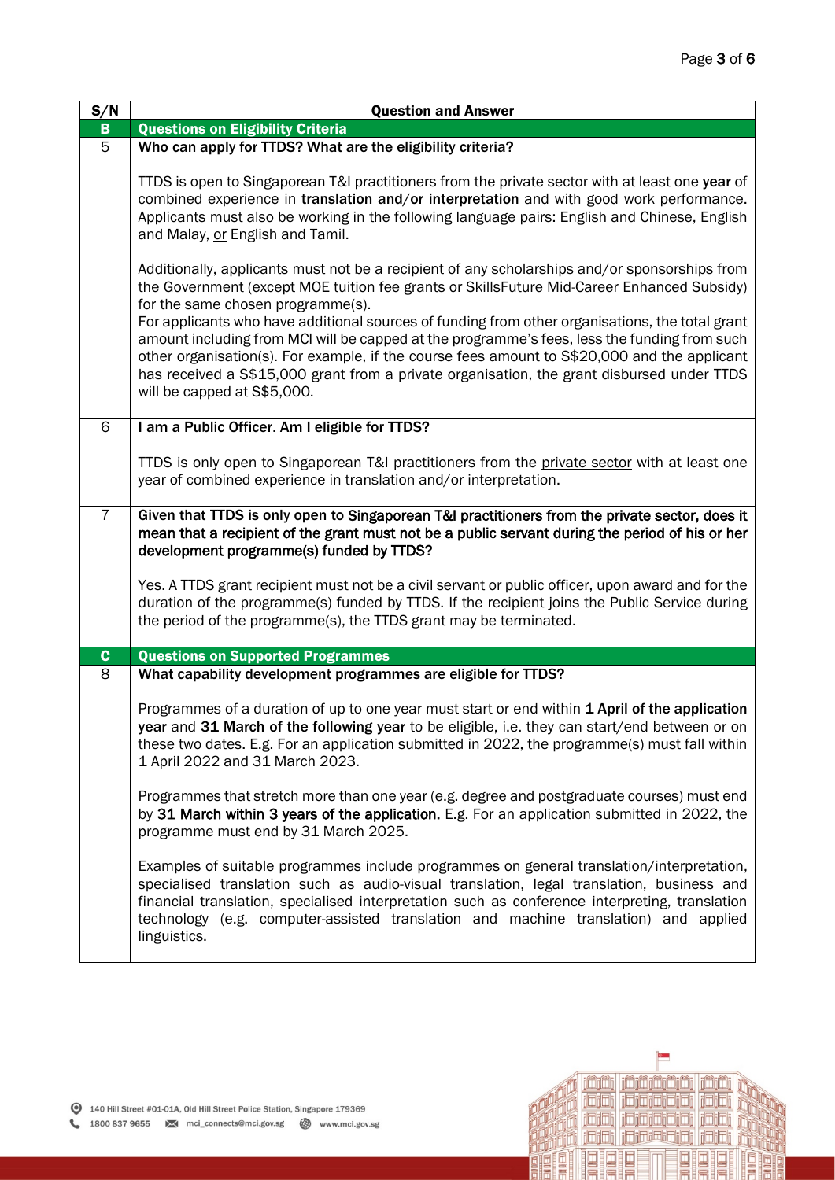| S/N            | <b>Question and Answer</b>                                                                                                                                                                                                                                                                                                                                                                                                                                                                                                          |  |  |
|----------------|-------------------------------------------------------------------------------------------------------------------------------------------------------------------------------------------------------------------------------------------------------------------------------------------------------------------------------------------------------------------------------------------------------------------------------------------------------------------------------------------------------------------------------------|--|--|
| $\mathbf{B}$   | <b>Questions on Eligibility Criteria</b>                                                                                                                                                                                                                                                                                                                                                                                                                                                                                            |  |  |
| $\overline{5}$ | Who can apply for TTDS? What are the eligibility criteria?                                                                                                                                                                                                                                                                                                                                                                                                                                                                          |  |  |
|                | TTDS is open to Singaporean T&I practitioners from the private sector with at least one year of<br>combined experience in translation and/or interpretation and with good work performance.<br>Applicants must also be working in the following language pairs: English and Chinese, English<br>and Malay, or English and Tamil.                                                                                                                                                                                                    |  |  |
|                | Additionally, applicants must not be a recipient of any scholarships and/or sponsorships from<br>the Government (except MOE tuition fee grants or SkillsFuture Mid-Career Enhanced Subsidy)<br>for the same chosen programme(s).<br>For applicants who have additional sources of funding from other organisations, the total grant<br>amount including from MCI will be capped at the programme's fees, less the funding from such<br>other organisation(s). For example, if the course fees amount to S\$20,000 and the applicant |  |  |
|                | has received a S\$15,000 grant from a private organisation, the grant disbursed under TTDS<br>will be capped at S\$5,000.                                                                                                                                                                                                                                                                                                                                                                                                           |  |  |
| 6              | I am a Public Officer. Am I eligible for TTDS?                                                                                                                                                                                                                                                                                                                                                                                                                                                                                      |  |  |
|                | TTDS is only open to Singaporean T&I practitioners from the private sector with at least one<br>year of combined experience in translation and/or interpretation.                                                                                                                                                                                                                                                                                                                                                                   |  |  |
| $\overline{7}$ | Given that TTDS is only open to Singaporean T&I practitioners from the private sector, does it<br>mean that a recipient of the grant must not be a public servant during the period of his or her<br>development programme(s) funded by TTDS?                                                                                                                                                                                                                                                                                       |  |  |
|                | Yes. A TTDS grant recipient must not be a civil servant or public officer, upon award and for the<br>duration of the programme(s) funded by TTDS. If the recipient joins the Public Service during<br>the period of the programme(s), the TTDS grant may be terminated.                                                                                                                                                                                                                                                             |  |  |
| $\mathbf{C}$   | <b>Questions on Supported Programmes</b>                                                                                                                                                                                                                                                                                                                                                                                                                                                                                            |  |  |
| 8              | What capability development programmes are eligible for TTDS?                                                                                                                                                                                                                                                                                                                                                                                                                                                                       |  |  |
|                | Programmes of a duration of up to one year must start or end within 1 April of the application<br>year and 31 March of the following year to be eligible, i.e. they can start/end between or on<br>these two dates. E.g. For an application submitted in 2022, the programme(s) must fall within<br>1 April 2022 and 31 March 2023.                                                                                                                                                                                                 |  |  |
|                | Programmes that stretch more than one year (e.g. degree and postgraduate courses) must end<br>by 31 March within 3 years of the application. E.g. For an application submitted in 2022, the<br>programme must end by 31 March 2025.                                                                                                                                                                                                                                                                                                 |  |  |
|                | Examples of suitable programmes include programmes on general translation/interpretation,<br>specialised translation such as audio-visual translation, legal translation, business and<br>financial translation, specialised interpretation such as conference interpreting, translation<br>technology (e.g. computer-assisted translation and machine translation) and applied<br>linguistics.                                                                                                                                     |  |  |

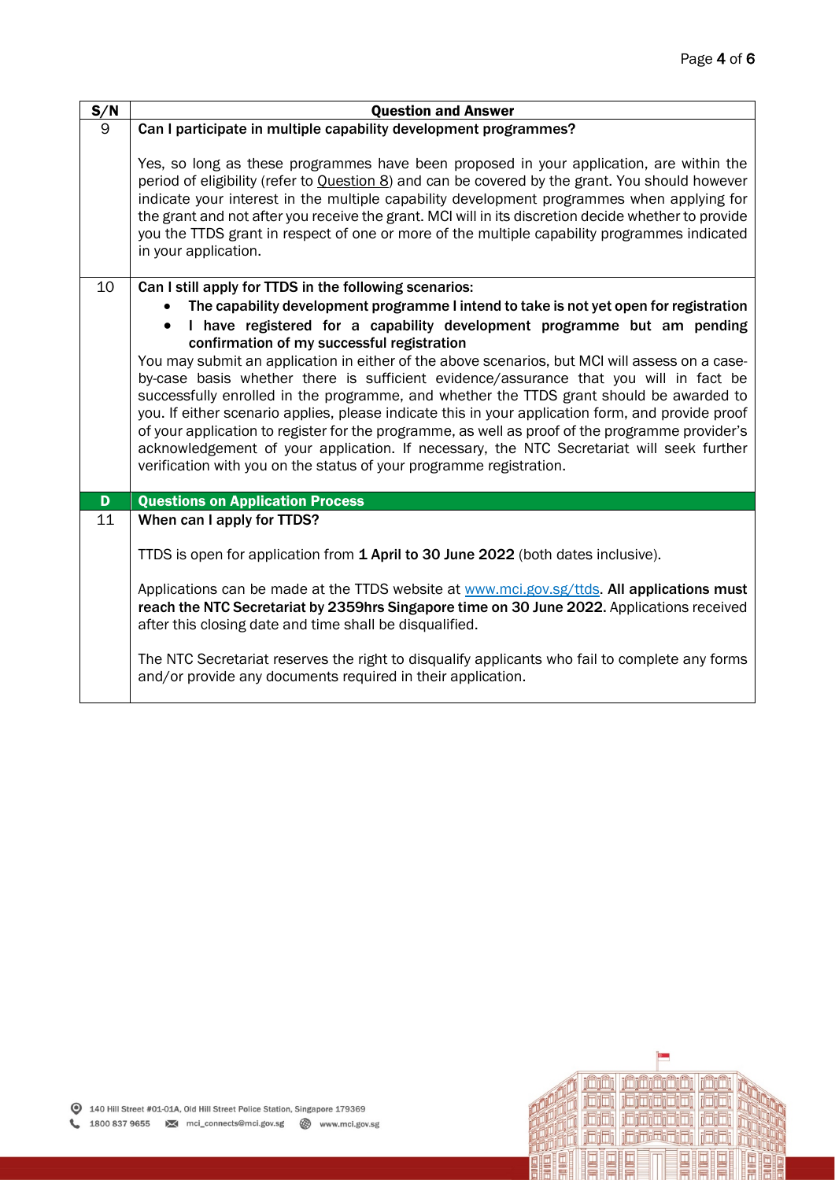| S/N | <b>Question and Answer</b>                                                                                                                                                                                                                                                                                                                                                                                                                                                                                              |
|-----|-------------------------------------------------------------------------------------------------------------------------------------------------------------------------------------------------------------------------------------------------------------------------------------------------------------------------------------------------------------------------------------------------------------------------------------------------------------------------------------------------------------------------|
| 9   | Can I participate in multiple capability development programmes?                                                                                                                                                                                                                                                                                                                                                                                                                                                        |
|     | Yes, so long as these programmes have been proposed in your application, are within the<br>period of eligibility (refer to Question 8) and can be covered by the grant. You should however<br>indicate your interest in the multiple capability development programmes when applying for<br>the grant and not after you receive the grant. MCI will in its discretion decide whether to provide<br>you the TTDS grant in respect of one or more of the multiple capability programmes indicated<br>in your application. |
| 10  | Can I still apply for TTDS in the following scenarios:                                                                                                                                                                                                                                                                                                                                                                                                                                                                  |
|     | The capability development programme I intend to take is not yet open for registration                                                                                                                                                                                                                                                                                                                                                                                                                                  |
|     | I have registered for a capability development programme but am pending                                                                                                                                                                                                                                                                                                                                                                                                                                                 |
|     | confirmation of my successful registration<br>You may submit an application in either of the above scenarios, but MCI will assess on a case-                                                                                                                                                                                                                                                                                                                                                                            |
|     | by-case basis whether there is sufficient evidence/assurance that you will in fact be                                                                                                                                                                                                                                                                                                                                                                                                                                   |
|     | successfully enrolled in the programme, and whether the TTDS grant should be awarded to                                                                                                                                                                                                                                                                                                                                                                                                                                 |
|     | you. If either scenario applies, please indicate this in your application form, and provide proof<br>of your application to register for the programme, as well as proof of the programme provider's                                                                                                                                                                                                                                                                                                                    |
|     | acknowledgement of your application. If necessary, the NTC Secretariat will seek further                                                                                                                                                                                                                                                                                                                                                                                                                                |
|     | verification with you on the status of your programme registration.                                                                                                                                                                                                                                                                                                                                                                                                                                                     |
| D   | <b>Questions on Application Process</b>                                                                                                                                                                                                                                                                                                                                                                                                                                                                                 |
| 11  | When can I apply for TTDS?                                                                                                                                                                                                                                                                                                                                                                                                                                                                                              |
|     |                                                                                                                                                                                                                                                                                                                                                                                                                                                                                                                         |
|     | TTDS is open for application from 1 April to 30 June 2022 (both dates inclusive).                                                                                                                                                                                                                                                                                                                                                                                                                                       |
|     | Applications can be made at the TTDS website at www.mci.gov.sg/ttds. All applications must                                                                                                                                                                                                                                                                                                                                                                                                                              |
|     | reach the NTC Secretariat by 2359hrs Singapore time on 30 June 2022. Applications received<br>after this closing date and time shall be disqualified.                                                                                                                                                                                                                                                                                                                                                                   |
|     |                                                                                                                                                                                                                                                                                                                                                                                                                                                                                                                         |
|     | The NTC Secretariat reserves the right to disqualify applicants who fail to complete any forms<br>and/or provide any documents required in their application.                                                                                                                                                                                                                                                                                                                                                           |

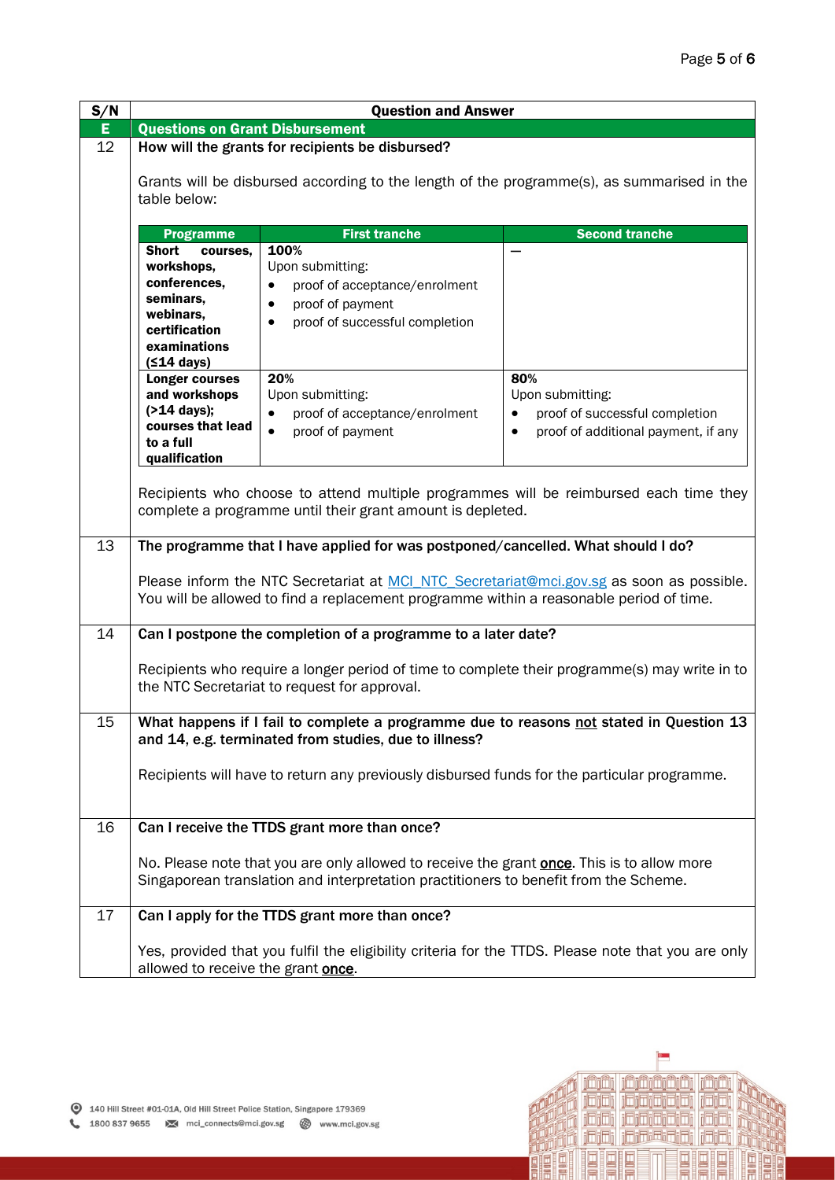| S/N | <b>Question and Answer</b>                                                                                                                                                          |                                                                                                                                                                                            |                                                                                                    |  |  |
|-----|-------------------------------------------------------------------------------------------------------------------------------------------------------------------------------------|--------------------------------------------------------------------------------------------------------------------------------------------------------------------------------------------|----------------------------------------------------------------------------------------------------|--|--|
| E   | <b>Questions on Grant Disbursement</b>                                                                                                                                              |                                                                                                                                                                                            |                                                                                                    |  |  |
| 12  | How will the grants for recipients be disbursed?                                                                                                                                    |                                                                                                                                                                                            |                                                                                                    |  |  |
|     | Grants will be disbursed according to the length of the programme(s), as summarised in the<br>table below:                                                                          |                                                                                                                                                                                            |                                                                                                    |  |  |
|     | <b>Programme</b>                                                                                                                                                                    | <b>First tranche</b>                                                                                                                                                                       | <b>Second tranche</b>                                                                              |  |  |
|     | <b>Short</b><br>courses,<br>workshops,<br>conferences,<br>seminars,<br>webinars,<br>certification<br>examinations<br>$(514 \text{ days})$                                           | 100%<br>Upon submitting:<br>proof of acceptance/enrolment<br>proof of payment<br>proof of successful completion                                                                            |                                                                                                    |  |  |
|     | <b>Longer courses</b>                                                                                                                                                               | 20%                                                                                                                                                                                        | 80%                                                                                                |  |  |
|     | and workshops                                                                                                                                                                       | Upon submitting:                                                                                                                                                                           | Upon submitting:                                                                                   |  |  |
|     | (>14 days);                                                                                                                                                                         | proof of acceptance/enrolment<br>$\bullet$                                                                                                                                                 | proof of successful completion<br>$\bullet$                                                        |  |  |
|     | courses that lead                                                                                                                                                                   | proof of payment<br>$\bullet$                                                                                                                                                              | proof of additional payment, if any<br>$\bullet$                                                   |  |  |
|     | to a full                                                                                                                                                                           |                                                                                                                                                                                            |                                                                                                    |  |  |
|     | qualification                                                                                                                                                                       |                                                                                                                                                                                            |                                                                                                    |  |  |
|     |                                                                                                                                                                                     | complete a programme until their grant amount is depleted.                                                                                                                                 | Recipients who choose to attend multiple programmes will be reimbursed each time they              |  |  |
| 13  |                                                                                                                                                                                     | The programme that I have applied for was postponed/cancelled. What should I do?                                                                                                           |                                                                                                    |  |  |
|     | Please inform the NTC Secretariat at MCI NTC Secretariat@mci.gov.sg as soon as possible.<br>You will be allowed to find a replacement programme within a reasonable period of time. |                                                                                                                                                                                            |                                                                                                    |  |  |
| 14  |                                                                                                                                                                                     | Can I postpone the completion of a programme to a later date?                                                                                                                              |                                                                                                    |  |  |
|     | Recipients who require a longer period of time to complete their programme(s) may write in to<br>the NTC Secretariat to request for approval.                                       |                                                                                                                                                                                            |                                                                                                    |  |  |
| 15  |                                                                                                                                                                                     |                                                                                                                                                                                            | What happens if I fail to complete a programme due to reasons not stated in Question 13            |  |  |
|     |                                                                                                                                                                                     | and 14, e.g. terminated from studies, due to illness?                                                                                                                                      |                                                                                                    |  |  |
|     |                                                                                                                                                                                     | Recipients will have to return any previously disbursed funds for the particular programme.                                                                                                |                                                                                                    |  |  |
|     |                                                                                                                                                                                     |                                                                                                                                                                                            |                                                                                                    |  |  |
| 16  |                                                                                                                                                                                     | Can I receive the TTDS grant more than once?                                                                                                                                               |                                                                                                    |  |  |
|     |                                                                                                                                                                                     | No. Please note that you are only allowed to receive the grant <b>once</b> . This is to allow more<br>Singaporean translation and interpretation practitioners to benefit from the Scheme. |                                                                                                    |  |  |
| 17  |                                                                                                                                                                                     | Can I apply for the TTDS grant more than once?                                                                                                                                             |                                                                                                    |  |  |
|     | allowed to receive the grant once.                                                                                                                                                  |                                                                                                                                                                                            | Yes, provided that you fulfil the eligibility criteria for the TTDS. Please note that you are only |  |  |